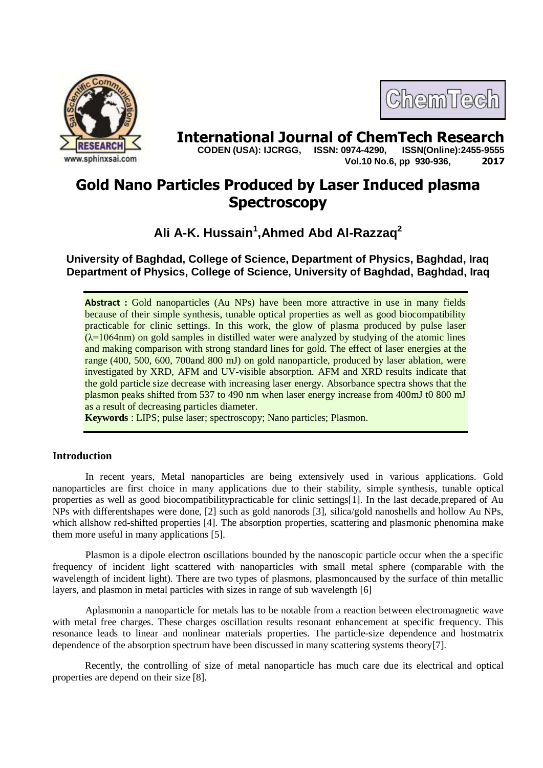



**International Journal of ChemTech Research copen (USA): IJCRGG.** ISSN: 0974-4290. ISSN(Online):2455-9555  **CODEN (USA): IJCRGG, ISSN: 0974-4290, Vol.10 No.6, pp 930-936, 2017**

# **Gold Nano Particles Produced by Laser Induced plasma Spectroscopy**

**Ali A-K. Hussain<sup>1</sup> ,Ahmed Abd Al-Razzaq<sup>2</sup>**

# **University of Baghdad, College of Science, Department of Physics, Baghdad, Iraq Department of Physics, College of Science, University of Baghdad, Baghdad, Iraq**

**Abstract :** Gold nanoparticles (Au NPs) have been more attractive in use in many fields because of their simple synthesis, tunable optical properties as well as good biocompatibility practicable for clinic settings. In this work, the glow of plasma produced by pulse laser  $(\lambda=1064$ nm) on gold samples in distilled water were analyzed by studying of the atomic lines and making comparison with strong standard lines for gold. The effect of laser energies at the range (400, 500, 600, 700and 800 mJ) on gold nanoparticle, produced by laser ablation, were investigated by XRD, AFM and UV-visible absorption. AFM and XRD results indicate that the gold particle size decrease with increasing laser energy. Absorbance spectra shows that the plasmon peaks shifted from 537 to 490 nm when laser energy increase from 400mJ t0 800 mJ as a result of decreasing particles diameter.

**Keywords** : LIPS; pulse laser; spectroscopy; Nano particles; Plasmon.

## **Introduction**

In recent years, Metal nanoparticles are being extensively used in various applications. Gold nanoparticles are first choice in many applications due to their stability, simple synthesis, tunable optical properties as well as good biocompatibilitypracticable for clinic settings[1]. In the last decade,prepared of Au NPs with differentshapes were done, [2] such as gold nanorods [3], silica/gold nanoshells and hollow Au NPs, which allshow red-shifted properties [4]. The absorption properties, scattering and plasmonic phenomina make them more useful in many applications [5].

Plasmon is a dipole electron oscillations bounded by the nanoscopic particle occur when the a specific frequency of incident light scattered with nanoparticles with small metal sphere (comparable with the wavelength of incident light). There are two types of plasmons, plasmoncaused by the surface of thin metallic layers, and plasmon in metal particles with sizes in range of sub wavelength [6]

Aplasmonin a nanoparticle for metals has to be notable from a reaction between electromagnetic wave with metal free charges. These charges oscillation results resonant enhancement at specific frequency. This resonance leads to linear and nonlinear materials properties. The particle-size dependence and hostmatrix dependence of the absorption spectrum have been discussed in many scattering systems theory[7].

Recently, the controlling of size of metal nanoparticle has much care due its electrical and optical properties are depend on their size [8].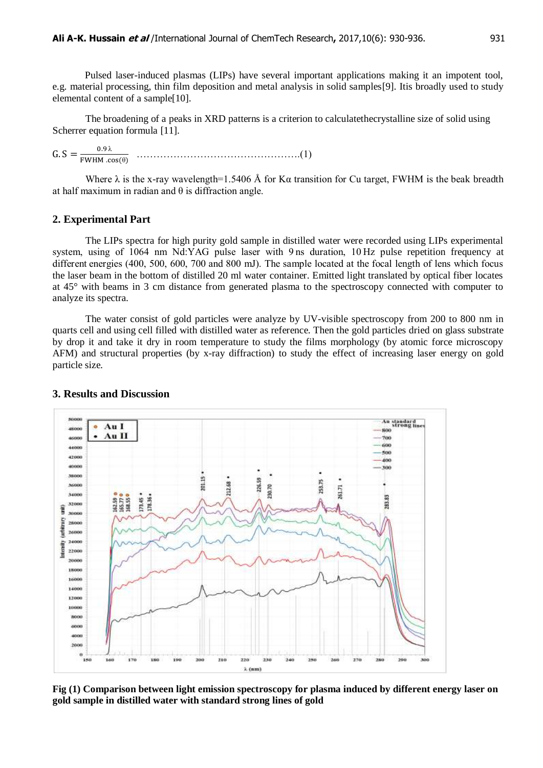Pulsed laser-induced plasmas (LIPs) have several important applications making it an impotent tool, e.g. material processing, thin film deposition and metal analysis in solid samples[9]. Itis broadly used to study elemental content of a sample[10].

The broadening of a peaks in XRD patterns is a criterion to calculatethecrystalline size of solid using Scherrer equation formula [11].

 $G.S = \frac{1}{F}$  λ ………………………………………….(1)

Where  $\lambda$  is the x-ray wavelength=1.5406 Å for K $\alpha$  transition for Cu target, FWHM is the beak breadth at half maximum in radian and  $\theta$  is diffraction angle.

#### **2. Experimental Part**

The LIPs spectra for high purity gold sample in distilled water were recorded using LIPs experimental system, using of 1064 nm Nd:YAG pulse laser with 9 ns duration, 10 Hz pulse repetition frequency at different energies (400, 500, 600, 700 and 800 mJ). The sample located at the focal length of lens which focus the laser beam in the bottom of distilled 20 ml water container. Emitted light translated by optical fiber locates at 45° with beams in 3 cm distance from generated plasma to the spectroscopy connected with computer to analyze its spectra.

The water consist of gold particles were analyze by UV-visible spectroscopy from 200 to 800 nm in quarts cell and using cell filled with distilled water as reference. Then the gold particles dried on glass substrate by drop it and take it dry in room temperature to study the films morphology (by atomic force microscopy AFM) and structural properties (by x-ray diffraction) to study the effect of increasing laser energy on gold particle size.



#### **3. Results and Discussion**

**Fig (1) Comparison between light emission spectroscopy for plasma induced by different energy laser on gold sample in distilled water with standard strong lines of gold**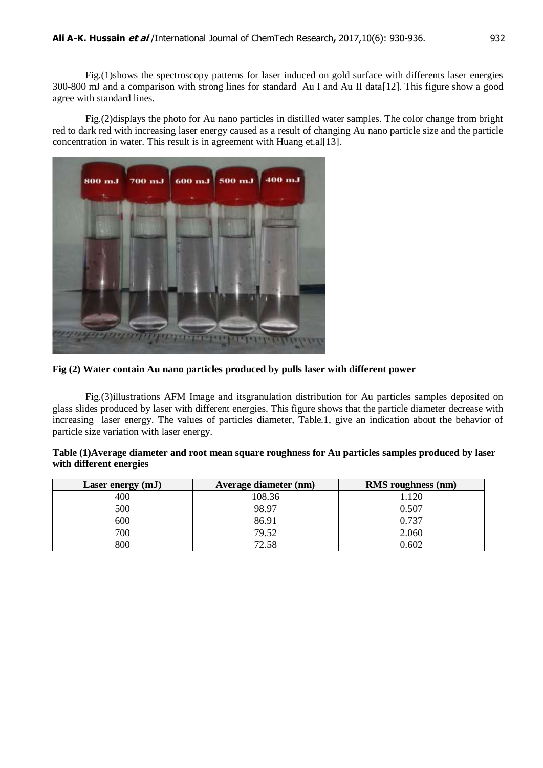Fig.(1)shows the spectroscopy patterns for laser induced on gold surface with differents laser energies 300-800 mJ and a comparison with strong lines for standard Au I and Au II data[12]. This figure show a good agree with standard lines.

Fig.(2)displays the photo for Au nano particles in distilled water samples. The color change from bright red to dark red with increasing laser energy caused as a result of changing Au nano particle size and the particle concentration in water. This result is in agreement with Huang et.al[13].



**Fig (2) Water contain Au nano particles produced by pulls laser with different power**

Fig.(3)illustrations AFM Image and itsgranulation distribution for Au particles samples deposited on glass slides produced by laser with different energies. This figure shows that the particle diameter decrease with increasing laser energy. The values of particles diameter, Table.1, give an indication about the behavior of particle size variation with laser energy.

| Table (1)Average diameter and root mean square roughness for Au particles samples produced by laser |  |
|-----------------------------------------------------------------------------------------------------|--|
| with different energies                                                                             |  |

| Laser energy (mJ) | <b>Average diameter (nm)</b> | <b>RMS</b> roughness (nm) |
|-------------------|------------------------------|---------------------------|
| 400               | 108.36                       | .120                      |
| 500               | 98.97                        | 0.507                     |
| 600               | 86.91                        | 0.737                     |
| 700               | 79.52                        | 2.060                     |
| 800               | 72.58                        | 0.602                     |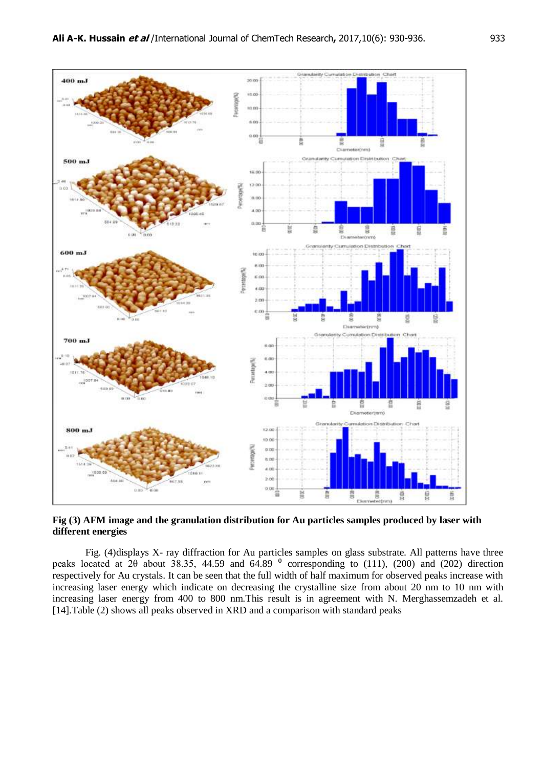

**Fig (3) AFM image and the granulation distribution for Au particles samples produced by laser with different energies** 

Fig. (4)displays X- ray diffraction for Au particles samples on glass substrate. All patterns have three peaks located at  $2\theta$  about 38.35, 44.59 and 64.89  $\degree$  corresponding to (111), (200) and (202) direction respectively for Au crystals. It can be seen that the full width of half maximum for observed peaks increase with increasing laser energy which indicate on decreasing the crystalline size from about 20 nm to 10 nm with increasing laser energy from 400 to 800 nm.This result is in agreement with N. Merghassemzadeh et al. [14].Table (2) shows all peaks observed in XRD and a comparison with standard peaks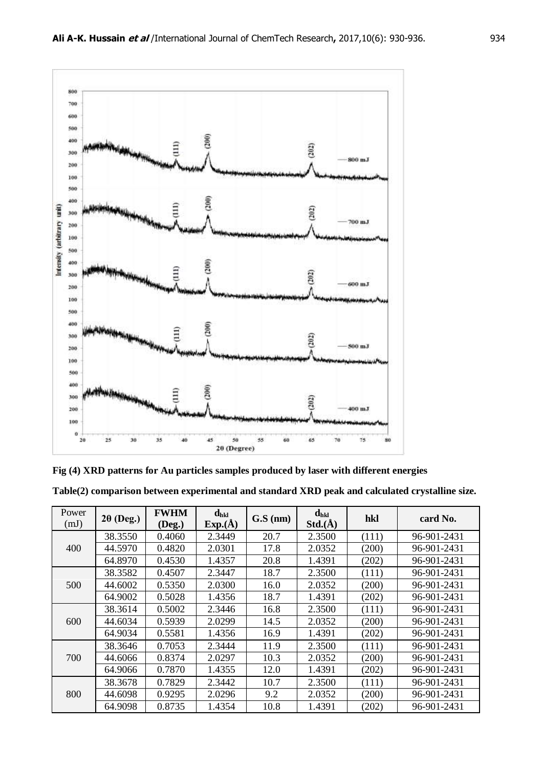



**Table(2) comparison between experimental and standard XRD peak and calculated crystalline size.**

| Power<br>(mJ) | $2\theta$ (Deg.) | <b>FWHM</b><br>$($ Deg. $)$ | $d_{hkl}$<br>$Exp.(\AA)$ | $G.S$ (nm) | $d_{hkl}$<br>Std.(A) | hkl   | card No.    |
|---------------|------------------|-----------------------------|--------------------------|------------|----------------------|-------|-------------|
| 400           | 38.3550          | 0.4060                      | 2.3449                   | 20.7       | 2.3500               | (111) | 96-901-2431 |
|               | 44.5970          | 0.4820                      | 2.0301                   | 17.8       | 2.0352               | (200) | 96-901-2431 |
|               | 64.8970          | 0.4530                      | 1.4357                   | 20.8       | 1.4391               | (202) | 96-901-2431 |
|               | 38.3582          | 0.4507                      | 2.3447                   | 18.7       | 2.3500               | (111) | 96-901-2431 |
| 500           | 44.6002          | 0.5350                      | 2.0300                   | 16.0       | 2.0352               | (200) | 96-901-2431 |
|               | 64.9002          | 0.5028                      | 1.4356                   | 18.7       | 1.4391               | (202) | 96-901-2431 |
|               | 38.3614          | 0.5002                      | 2.3446                   | 16.8       | 2.3500               | (111) | 96-901-2431 |
| 600           | 44.6034          | 0.5939                      | 2.0299                   | 14.5       | 2.0352               | (200) | 96-901-2431 |
|               | 64.9034          | 0.5581                      | 1.4356                   | 16.9       | 1.4391               | (202) | 96-901-2431 |
|               | 38.3646          | 0.7053                      | 2.3444                   | 11.9       | 2.3500               | (111) | 96-901-2431 |
| 700           | 44.6066          | 0.8374                      | 2.0297                   | 10.3       | 2.0352               | (200) | 96-901-2431 |
|               | 64.9066          | 0.7870                      | 1.4355                   | 12.0       | 1.4391               | (202) | 96-901-2431 |
| 800           | 38.3678          | 0.7829                      | 2.3442                   | 10.7       | 2.3500               | (111) | 96-901-2431 |
|               | 44.6098          | 0.9295                      | 2.0296                   | 9.2        | 2.0352               | (200) | 96-901-2431 |
|               | 64.9098          | 0.8735                      | 1.4354                   | 10.8       | 1.4391               | (202) | 96-901-2431 |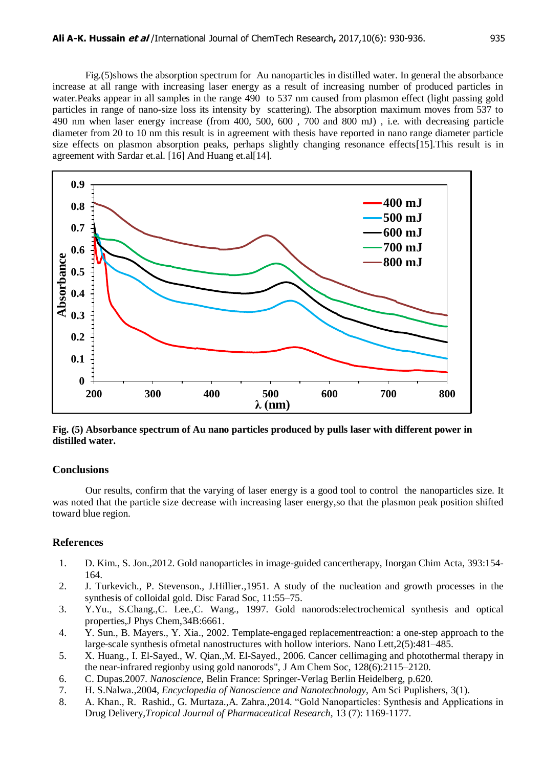Fig.(5)shows the absorption spectrum for Au nanoparticles in distilled water. In general the absorbance increase at all range with increasing laser energy as a result of increasing number of produced particles in water.Peaks appear in all samples in the range 490 to 537 nm caused from plasmon effect (light passing gold particles in range of nano-size loss its intensity by scattering). The absorption maximum moves from 537 to 490 nm when laser energy increase (from 400, 500, 600 , 700 and 800 mJ) , i.e. with decreasing particle diameter from 20 to 10 nm this result is in agreement with thesis have reported in nano range diameter particle size effects on plasmon absorption peaks, perhaps slightly changing resonance effects[15].This result is in agreement with Sardar et.al. [16] And Huang et.al[14].



**Fig. (5) Absorbance spectrum of Au nano particles produced by pulls laser with different power in distilled water.**

## **Conclusions**

Our results, confirm that the varying of laser energy is a good tool to control the nanoparticles size. It was noted that the particle size decrease with increasing laser energy,so that the plasmon peak position shifted toward blue region.

## **References**

- 1. D. Kim., S. Jon.,2012. Gold nanoparticles in image-guided cancertherapy, Inorgan Chim Acta, 393:154- 164.
- 2. J. Turkevich., P. Stevenson., J.Hillier.,1951. A study of the nucleation and growth processes in the synthesis of colloidal gold. Disc Farad Soc, 11:55–75.
- 3. Y.Yu., S.Chang.,C. Lee.,C. Wang., 1997. Gold nanorods:electrochemical synthesis and optical properties,J Phys Chem,34B:6661.
- 4. Y. Sun., B. Mayers., Y. Xia., 2002. Template-engaged replacementreaction: a one-step approach to the large-scale synthesis ofmetal nanostructures with hollow interiors. Nano Lett,2(5):481–485.
- 5. X. Huang., I. El-Sayed., W. Qian.,M. El-Sayed., 2006. Cancer cellimaging and photothermal therapy in the near-infrared regionby using gold nanorods", J Am Chem Soc, 128(6):2115–2120.
- 6. C. Dupas.2007. *Nanoscience*, Belin France: Springer-Verlag Berlin Heidelberg, p.620.
- 7. H. S.Nalwa.,2004, *Encyclopedia of Nanoscience and Nanotechnology*, Am Sci Puplishers, 3(1).
- 8. A. Khan., R. Rashid., G. Murtaza.,A. Zahra.,2014. "Gold Nanoparticles: Synthesis and Applications in Drug Delivery*,Tropical Journal of Pharmaceutical Research,* 13 (7): 1169-1177.